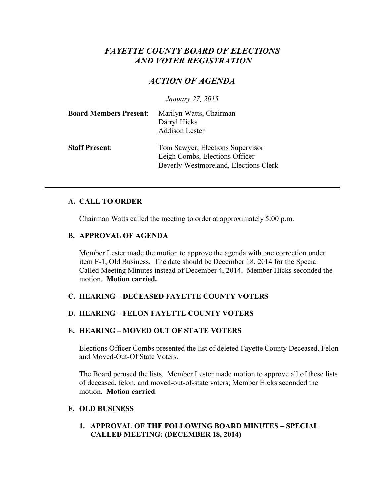# *FAYETTE COUNTY BOARD OF ELECTIONS AND VOTER REGISTRATION*

## *ACTION OF AGENDA*

*January 27, 2015*

| <b>Board Members Present:</b> | Marilyn Watts, Chairman<br>Darryl Hicks<br><b>Addison Lester</b>                                            |
|-------------------------------|-------------------------------------------------------------------------------------------------------------|
| <b>Staff Present:</b>         | Tom Sawyer, Elections Supervisor<br>Leigh Combs, Elections Officer<br>Beverly Westmoreland, Elections Clerk |

#### **A. CALL TO ORDER**

Chairman Watts called the meeting to order at approximately 5:00 p.m.

#### **B. APPROVAL OF AGENDA**

Member Lester made the motion to approve the agenda with one correction under item F-1, Old Business. The date should be December 18, 2014 for the Special Called Meeting Minutes instead of December 4, 2014. Member Hicks seconded the motion. **Motion carried.**

## **C. HEARING – DECEASED FAYETTE COUNTY VOTERS**

## **D. HEARING – FELON FAYETTE COUNTY VOTERS**

## **E. HEARING – MOVED OUT OF STATE VOTERS**

Elections Officer Combs presented the list of deleted Fayette County Deceased, Felon and Moved-Out-Of State Voters.

The Board perused the lists. Member Lester made motion to approve all of these lists of deceased, felon, and moved-out-of-state voters; Member Hicks seconded the motion. **Motion carried**.

#### **F. OLD BUSINESS**

**1. APPROVAL OF THE FOLLOWING BOARD MINUTES – SPECIAL CALLED MEETING: (DECEMBER 18, 2014)**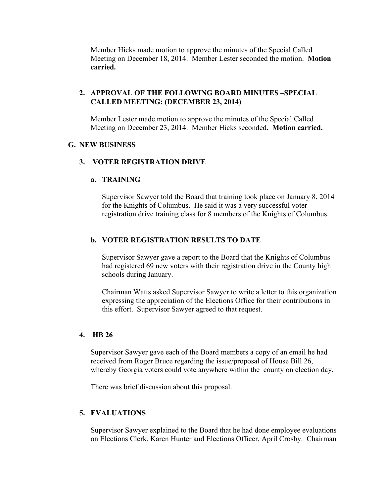Member Hicks made motion to approve the minutes of the Special Called Meeting on December 18, 2014. Member Lester seconded the motion. **Motion carried.**

#### **2. APPROVAL OF THE FOLLOWING BOARD MINUTES –SPECIAL CALLED MEETING: (DECEMBER 23, 2014)**

Member Lester made motion to approve the minutes of the Special Called Meeting on December 23, 2014. Member Hicks seconded. **Motion carried.**

#### **G. NEW BUSINESS**

#### **3. VOTER REGISTRATION DRIVE**

#### **a. TRAINING**

Supervisor Sawyer told the Board that training took place on January 8, 2014 for the Knights of Columbus. He said it was a very successful voter registration drive training class for 8 members of the Knights of Columbus.

#### **b. VOTER REGISTRATION RESULTS TO DATE**

Supervisor Sawyer gave a report to the Board that the Knights of Columbus had registered 69 new voters with their registration drive in the County high schools during January.

Chairman Watts asked Supervisor Sawyer to write a letter to this organization expressing the appreciation of the Elections Office for their contributions in this effort. Supervisor Sawyer agreed to that request.

#### **4. HB 26**

Supervisor Sawyer gave each of the Board members a copy of an email he had received from Roger Bruce regarding the issue/proposal of House Bill 26, whereby Georgia voters could vote anywhere within the county on election day.

There was brief discussion about this proposal.

#### **5. EVALUATIONS**

Supervisor Sawyer explained to the Board that he had done employee evaluations on Elections Clerk, Karen Hunter and Elections Officer, April Crosby. Chairman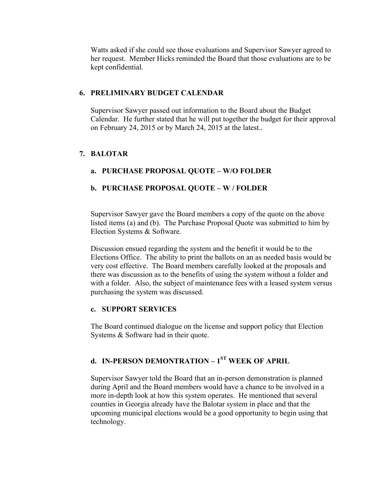Watts asked if she could see those evaluations and Supervisor Sawyer agreed to her request. Member Hicks reminded the Board that those evaluations are to be kept confidential.

## **6. PRELIMINARY BUDGET CALENDAR**

Supervisor Sawyer passed out information to the Board about the Budget Calendar. He further stated that he will put together the budget for their approval on February 24, 2015 or by March 24, 2015 at the latest..

## **7. BALOTAR**

## **a. PURCHASE PROPOSAL QUOTE – W/O FOLDER**

## **b. PURCHASE PROPOSAL QUOTE – W / FOLDER**

Supervisor Sawyer gave the Board members a copy of the quote on the above listed items (a) and (b). The Purchase Proposal Quote was submitted to him by Election Systems & Software.

Discussion ensued regarding the system and the benefit it would be to the Elections Office. The ability to print the ballots on an as needed basis would be very cost effective. The Board members carefully looked at the proposals and there was discussion as to the benefits of using the system without a folder and with a folder. Also, the subject of maintenance fees with a leased system versus purchasing the system was discussed.

#### **c. SUPPORT SERVICES**

The Board continued dialogue on the license and support policy that Election Systems & Software had in their quote.

# **d. IN-PERSON DEMONTRATION – 1ST WEEK OF APRIL**

Supervisor Sawyer told the Board that an in-person demonstration is planned during April and the Board members would have a chance to be involved in a more in-depth look at how this system operates. He mentioned that several counties in Georgia already have the Balotar system in place and that the upcoming municipal elections would be a good opportunity to begin using that technology.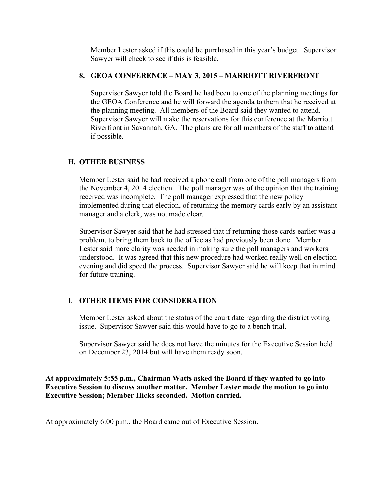Member Lester asked if this could be purchased in this year's budget. Supervisor Sawyer will check to see if this is feasible.

## **8. GEOA CONFERENCE – MAY 3, 2015 – MARRIOTT RIVERFRONT**

Supervisor Sawyer told the Board he had been to one of the planning meetings for the GEOA Conference and he will forward the agenda to them that he received at the planning meeting. All members of the Board said they wanted to attend. Supervisor Sawyer will make the reservations for this conference at the Marriott Riverfront in Savannah, GA. The plans are for all members of the staff to attend if possible.

## **H. OTHER BUSINESS**

Member Lester said he had received a phone call from one of the poll managers from the November 4, 2014 election. The poll manager was of the opinion that the training received was incomplete. The poll manager expressed that the new policy implemented during that election, of returning the memory cards early by an assistant manager and a clerk, was not made clear.

Supervisor Sawyer said that he had stressed that if returning those cards earlier was a problem, to bring them back to the office as had previously been done. Member Lester said more clarity was needed in making sure the poll managers and workers understood. It was agreed that this new procedure had worked really well on election evening and did speed the process. Supervisor Sawyer said he will keep that in mind for future training.

## **I. OTHER ITEMS FOR CONSIDERATION**

Member Lester asked about the status of the court date regarding the district voting issue. Supervisor Sawyer said this would have to go to a bench trial.

Supervisor Sawyer said he does not have the minutes for the Executive Session held on December 23, 2014 but will have them ready soon.

**At approximately 5:55 p.m., Chairman Watts asked the Board if they wanted to go into Executive Session to discuss another matter. Member Lester made the motion to go into Executive Session; Member Hicks seconded. Motion carried.**

At approximately 6:00 p.m., the Board came out of Executive Session.